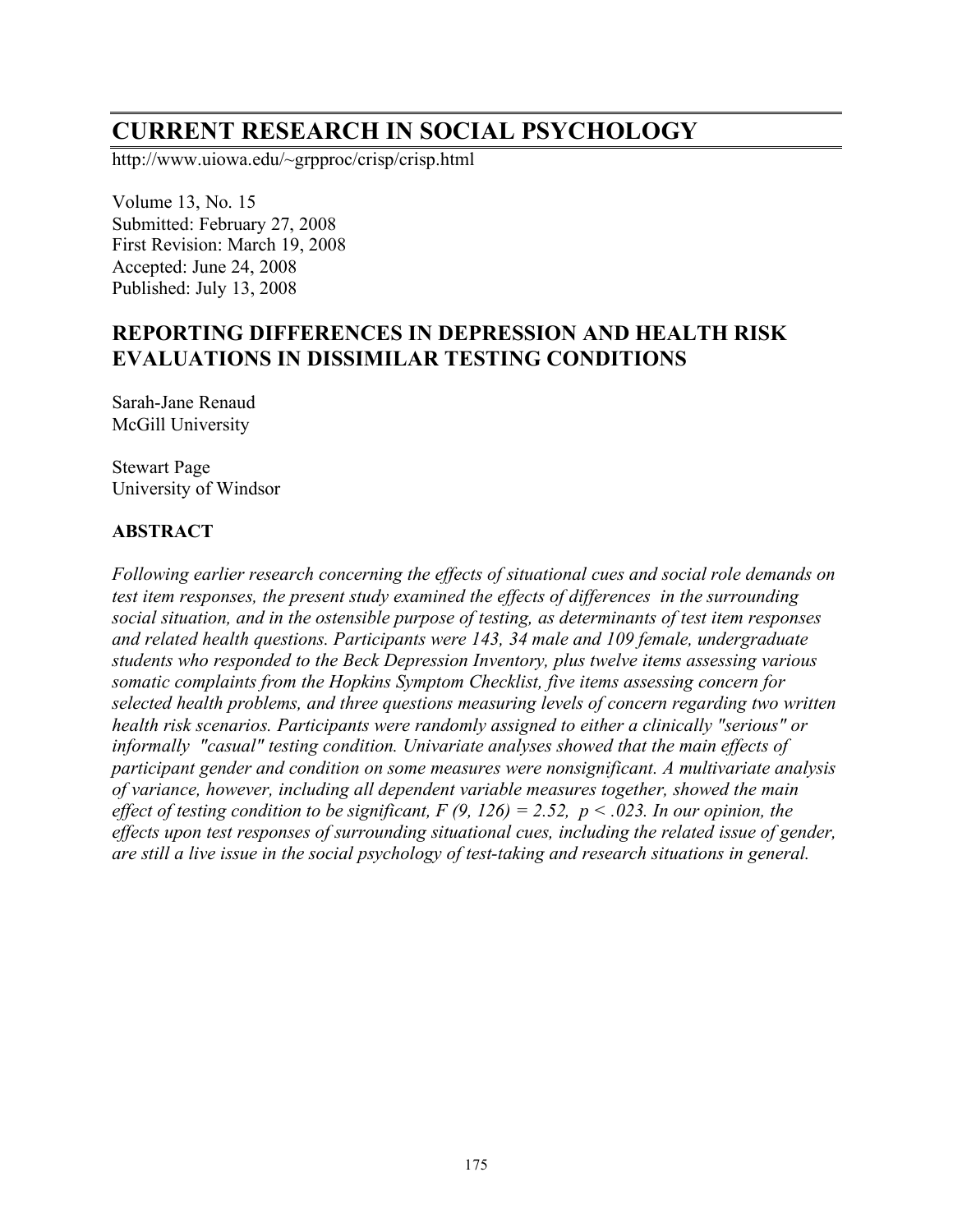# **CURRENT RESEARCH IN SOCIAL PSYCHOLOGY**

http://www.uiowa.edu/~grpproc/crisp/crisp.html

Volume 13, No. 15 Submitted: February 27, 2008 First Revision: March 19, 2008 Accepted: June 24, 2008 Published: July 13, 2008

# **REPORTING DIFFERENCES IN DEPRESSION AND HEALTH RISK EVALUATIONS IN DISSIMILAR TESTING CONDITIONS**

Sarah-Jane Renaud McGill University

Stewart Page University of Windsor

#### **ABSTRACT**

*Following earlier research concerning the effects of situational cues and social role demands on test item responses, the present study examined the effects of differences in the surrounding social situation, and in the ostensible purpose of testing, as determinants of test item responses and related health questions. Participants were 143, 34 male and 109 female, undergraduate students who responded to the Beck Depression Inventory, plus twelve items assessing various somatic complaints from the Hopkins Symptom Checklist, five items assessing concern for selected health problems, and three questions measuring levels of concern regarding two written health risk scenarios. Participants were randomly assigned to either a clinically "serious" or informally "casual" testing condition. Univariate analyses showed that the main effects of participant gender and condition on some measures were nonsignificant. A multivariate analysis of variance, however, including all dependent variable measures together, showed the main effect* of *testing condition to be significant,*  $F(9, 126) = 2.52$ ,  $p < .023$ . In our opinion, the *effects upon test responses of surrounding situational cues, including the related issue of gender, are still a live issue in the social psychology of test-taking and research situations in general.*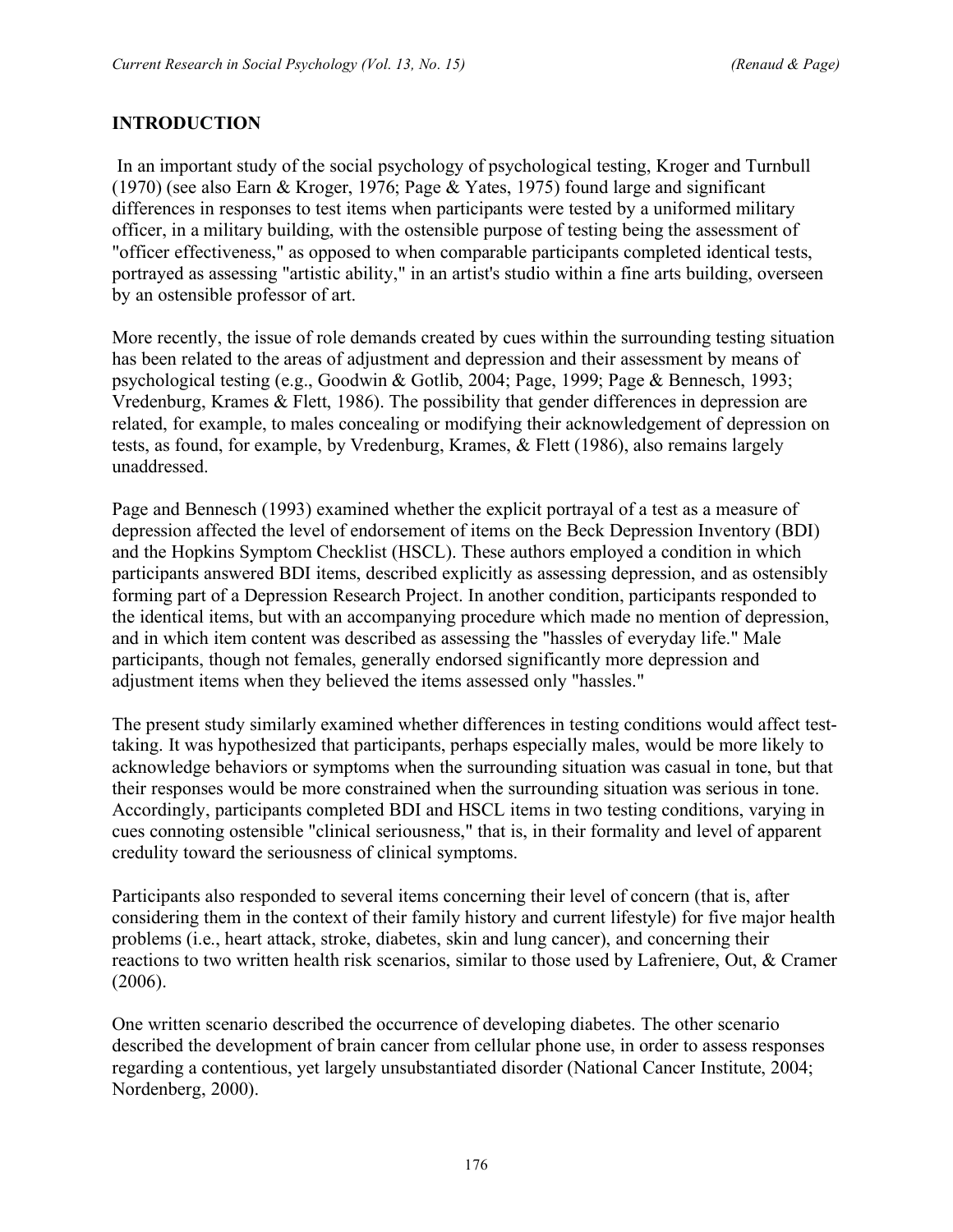## **INTRODUCTION**

In an important study of the social psychology of psychological testing, Kroger and Turnbull (1970) (see also Earn & Kroger, 1976; Page & Yates, 1975) found large and significant differences in responses to test items when participants were tested by a uniformed military officer, in a military building, with the ostensible purpose of testing being the assessment of "officer effectiveness," as opposed to when comparable participants completed identical tests, portrayed as assessing "artistic ability," in an artist's studio within a fine arts building, overseen by an ostensible professor of art.

More recently, the issue of role demands created by cues within the surrounding testing situation has been related to the areas of adjustment and depression and their assessment by means of psychological testing (e.g., Goodwin & Gotlib, 2004; Page, 1999; Page & Bennesch, 1993; Vredenburg, Krames & Flett, 1986). The possibility that gender differences in depression are related, for example, to males concealing or modifying their acknowledgement of depression on tests, as found, for example, by Vredenburg, Krames, & Flett (1986), also remains largely unaddressed.

Page and Bennesch (1993) examined whether the explicit portrayal of a test as a measure of depression affected the level of endorsement of items on the Beck Depression Inventory (BDI) and the Hopkins Symptom Checklist (HSCL). These authors employed a condition in which participants answered BDI items, described explicitly as assessing depression, and as ostensibly forming part of a Depression Research Project. In another condition, participants responded to the identical items, but with an accompanying procedure which made no mention of depression, and in which item content was described as assessing the "hassles of everyday life." Male participants, though not females, generally endorsed significantly more depression and adjustment items when they believed the items assessed only "hassles."

The present study similarly examined whether differences in testing conditions would affect testtaking. It was hypothesized that participants, perhaps especially males, would be more likely to acknowledge behaviors or symptoms when the surrounding situation was casual in tone, but that their responses would be more constrained when the surrounding situation was serious in tone. Accordingly, participants completed BDI and HSCL items in two testing conditions, varying in cues connoting ostensible "clinical seriousness," that is, in their formality and level of apparent credulity toward the seriousness of clinical symptoms.

Participants also responded to several items concerning their level of concern (that is, after considering them in the context of their family history and current lifestyle) for five major health problems (i.e., heart attack, stroke, diabetes, skin and lung cancer), and concerning their reactions to two written health risk scenarios, similar to those used by Lafreniere, Out, & Cramer (2006).

One written scenario described the occurrence of developing diabetes. The other scenario described the development of brain cancer from cellular phone use, in order to assess responses regarding a contentious, yet largely unsubstantiated disorder (National Cancer Institute, 2004; Nordenberg, 2000).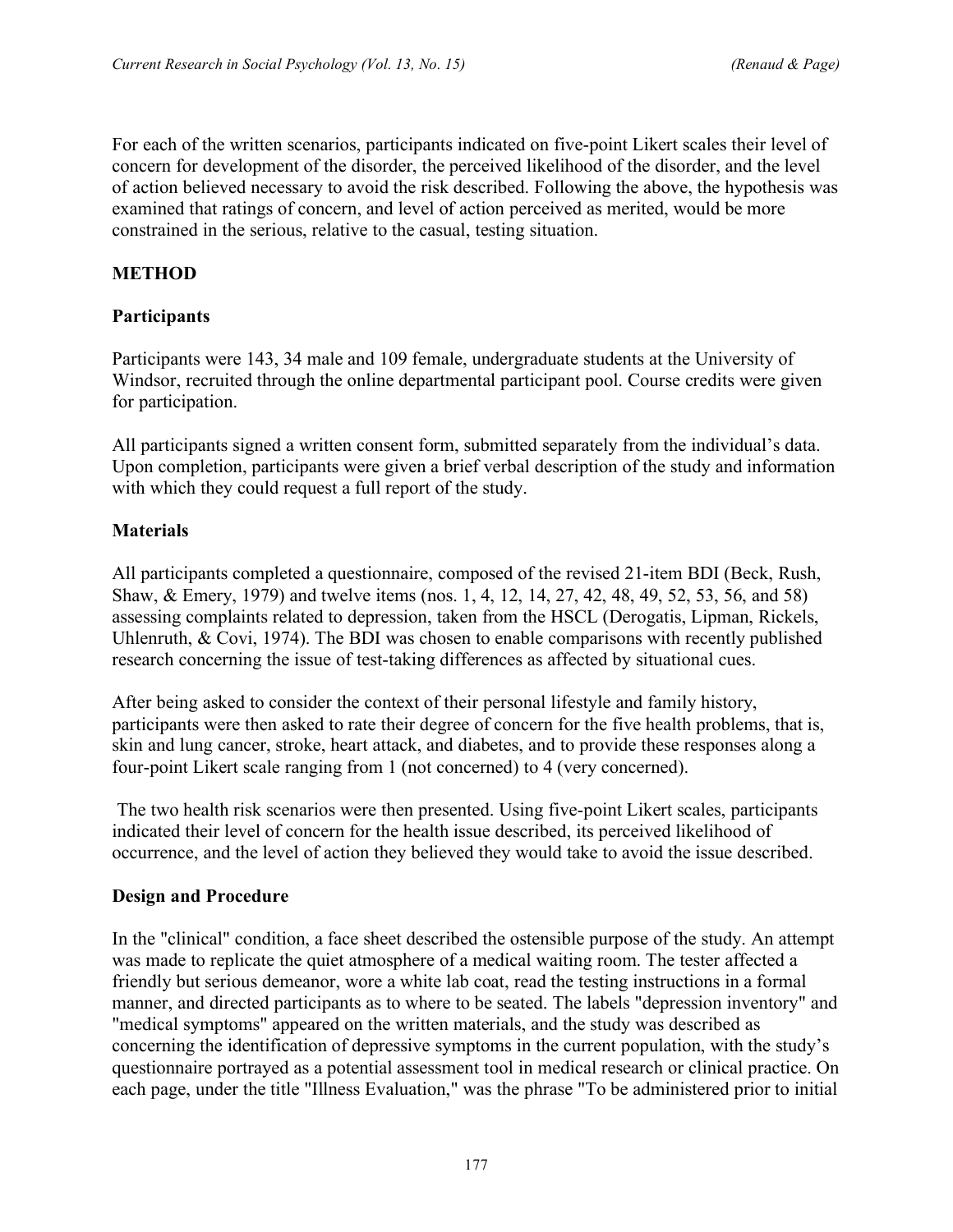For each of the written scenarios, participants indicated on five-point Likert scales their level of concern for development of the disorder, the perceived likelihood of the disorder, and the level of action believed necessary to avoid the risk described. Following the above, the hypothesis was examined that ratings of concern, and level of action perceived as merited, would be more constrained in the serious, relative to the casual, testing situation.

### **METHOD**

#### **Participants**

Participants were 143, 34 male and 109 female, undergraduate students at the University of Windsor, recruited through the online departmental participant pool. Course credits were given for participation.

All participants signed a written consent form, submitted separately from the individual's data. Upon completion, participants were given a brief verbal description of the study and information with which they could request a full report of the study.

## **Materials**

All participants completed a questionnaire, composed of the revised 21-item BDI (Beck, Rush, Shaw, & Emery, 1979) and twelve items (nos. 1, 4, 12, 14, 27, 42, 48, 49, 52, 53, 56, and 58) assessing complaints related to depression, taken from the HSCL (Derogatis, Lipman, Rickels, Uhlenruth, & Covi, 1974). The BDI was chosen to enable comparisons with recently published research concerning the issue of test-taking differences as affected by situational cues.

After being asked to consider the context of their personal lifestyle and family history, participants were then asked to rate their degree of concern for the five health problems, that is, skin and lung cancer, stroke, heart attack, and diabetes, and to provide these responses along a four-point Likert scale ranging from 1 (not concerned) to 4 (very concerned).

The two health risk scenarios were then presented. Using five-point Likert scales, participants indicated their level of concern for the health issue described, its perceived likelihood of occurrence, and the level of action they believed they would take to avoid the issue described.

#### **Design and Procedure**

In the "clinical" condition, a face sheet described the ostensible purpose of the study. An attempt was made to replicate the quiet atmosphere of a medical waiting room. The tester affected a friendly but serious demeanor, wore a white lab coat, read the testing instructions in a formal manner, and directed participants as to where to be seated. The labels "depression inventory" and "medical symptoms" appeared on the written materials, and the study was described as concerning the identification of depressive symptoms in the current population, with the study's questionnaire portrayed as a potential assessment tool in medical research or clinical practice. On each page, under the title "Illness Evaluation," was the phrase "To be administered prior to initial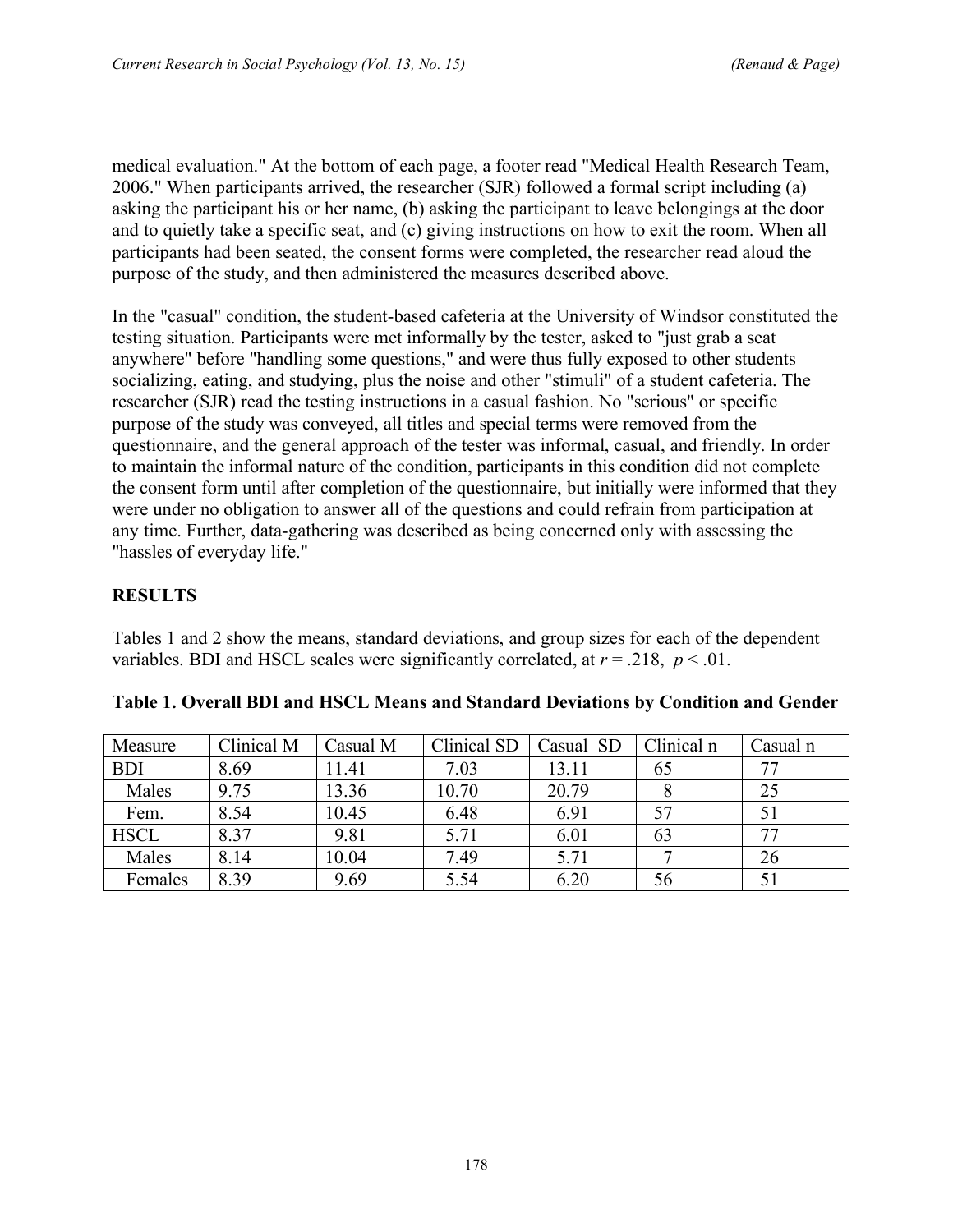medical evaluation." At the bottom of each page, a footer read "Medical Health Research Team, 2006." When participants arrived, the researcher (SJR) followed a formal script including (a) asking the participant his or her name, (b) asking the participant to leave belongings at the door and to quietly take a specific seat, and (c) giving instructions on how to exit the room. When all participants had been seated, the consent forms were completed, the researcher read aloud the purpose of the study, and then administered the measures described above.

In the "casual" condition, the student-based cafeteria at the University of Windsor constituted the testing situation. Participants were met informally by the tester, asked to "just grab a seat anywhere" before "handling some questions," and were thus fully exposed to other students socializing, eating, and studying, plus the noise and other "stimuli" of a student cafeteria. The researcher (SJR) read the testing instructions in a casual fashion. No "serious" or specific purpose of the study was conveyed, all titles and special terms were removed from the questionnaire, and the general approach of the tester was informal, casual, and friendly. In order to maintain the informal nature of the condition, participants in this condition did not complete the consent form until after completion of the questionnaire, but initially were informed that they were under no obligation to answer all of the questions and could refrain from participation at any time. Further, data-gathering was described as being concerned only with assessing the "hassles of everyday life."

## **RESULTS**

Tables 1 and 2 show the means, standard deviations, and group sizes for each of the dependent variables. BDI and HSCL scales were significantly correlated, at  $r = .218$ ,  $p < .01$ .

| Measure     | Clinical M | Casual M | Clinical SD | Casual SD | Clinical n | Casual n |
|-------------|------------|----------|-------------|-----------|------------|----------|
| <b>BDI</b>  | 8.69       | 11.41    | 7.03        | 13.11     | 65         |          |
| Males       | 9.75       | 13.36    | 10.70       | 20.79     |            | 25       |
| Fem.        | 8.54       | 10.45    | 6.48        | 6.91      | 57         |          |
| <b>HSCL</b> | 8.37       | 9.81     | 5.71        | 6.01      | 63         |          |
| Males       | 8.14       | 10.04    | 7.49        | 5.71      |            | 26       |
| Females     | 8.39       | 9.69     | 5.54        | 6.20      | 56         |          |

|  |  |  | Table 1. Overall BDI and HSCL Means and Standard Deviations by Condition and Gender |
|--|--|--|-------------------------------------------------------------------------------------|
|--|--|--|-------------------------------------------------------------------------------------|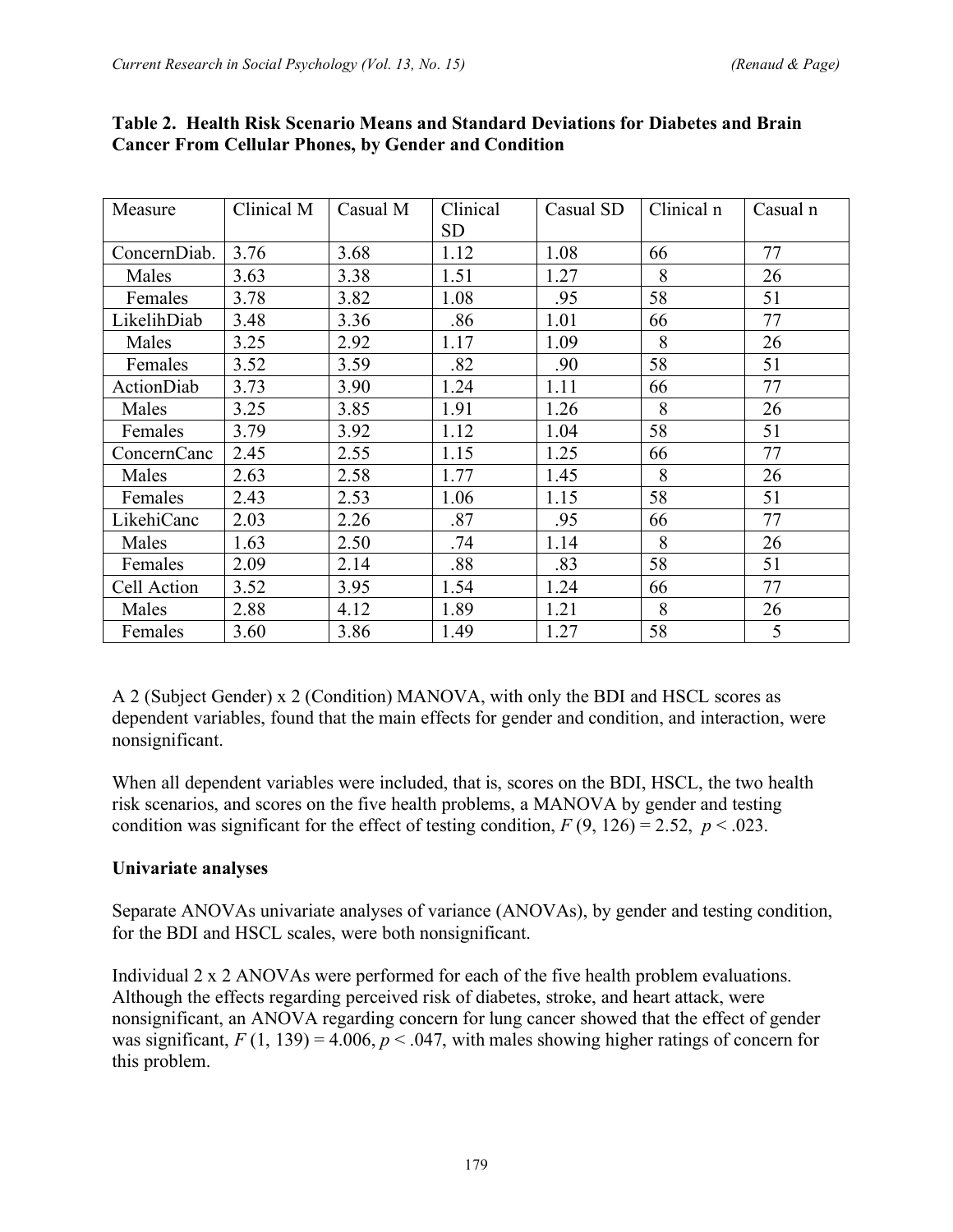| Measure           | Clinical M | Casual M | Clinical  | Casual SD | Clinical n | Casual n |
|-------------------|------------|----------|-----------|-----------|------------|----------|
|                   |            |          | <b>SD</b> |           |            |          |
| ConcernDiab.      | 3.76       | 3.68     | 1.12      | 1.08      | 66         | 77       |
| Males             | 3.63       | 3.38     | 1.51      | 1.27      | 8          | 26       |
| Females           | 3.78       | 3.82     | 1.08      | .95       | 58         | 51       |
| LikelihDiab       | 3.48       | 3.36     | .86       | 1.01      | 66         | 77       |
| Males             | 3.25       | 2.92     | 1.17      | 1.09      | 8          | 26       |
| Females           | 3.52       | 3.59     | .82       | .90       | 58         | 51       |
| <b>ActionDiab</b> | 3.73       | 3.90     | 1.24      | 1.11      | 66         | 77       |
| Males             | 3.25       | 3.85     | 1.91      | 1.26      | 8          | 26       |
| Females           | 3.79       | 3.92     | 1.12      | 1.04      | 58         | 51       |
| ConcernCanc       | 2.45       | 2.55     | 1.15      | 1.25      | 66         | 77       |
| Males             | 2.63       | 2.58     | 1.77      | 1.45      | 8          | 26       |
| Females           | 2.43       | 2.53     | 1.06      | 1.15      | 58         | 51       |
| LikehiCanc        | 2.03       | 2.26     | .87       | .95       | 66         | 77       |
| Males             | 1.63       | 2.50     | .74       | 1.14      | 8          | 26       |
| Females           | 2.09       | 2.14     | .88       | .83       | 58         | 51       |
| Cell Action       | 3.52       | 3.95     | 1.54      | 1.24      | 66         | 77       |
| Males             | 2.88       | 4.12     | 1.89      | 1.21      | 8          | 26       |
| Females           | 3.60       | 3.86     | 1.49      | 1.27      | 58         | 5        |

#### **Table 2. Health Risk Scenario Means and Standard Deviations for Diabetes and Brain Cancer From Cellular Phones, by Gender and Condition**

A 2 (Subject Gender) x 2 (Condition) MANOVA, with only the BDI and HSCL scores as dependent variables, found that the main effects for gender and condition, and interaction, were nonsignificant.

When all dependent variables were included, that is, scores on the BDI, HSCL, the two health risk scenarios, and scores on the five health problems, a MANOVA by gender and testing condition was significant for the effect of testing condition,  $F(9, 126) = 2.52$ ,  $p < .023$ .

# **Univariate analyses**

Separate ANOVAs univariate analyses of variance (ANOVAs), by gender and testing condition, for the BDI and HSCL scales, were both nonsignificant.

Individual 2 x 2 ANOVAs were performed for each of the five health problem evaluations. Although the effects regarding perceived risk of diabetes, stroke, and heart attack, were nonsignificant, an ANOVA regarding concern for lung cancer showed that the effect of gender was significant,  $F(1, 139) = 4.006$ ,  $p < .047$ , with males showing higher ratings of concern for this problem.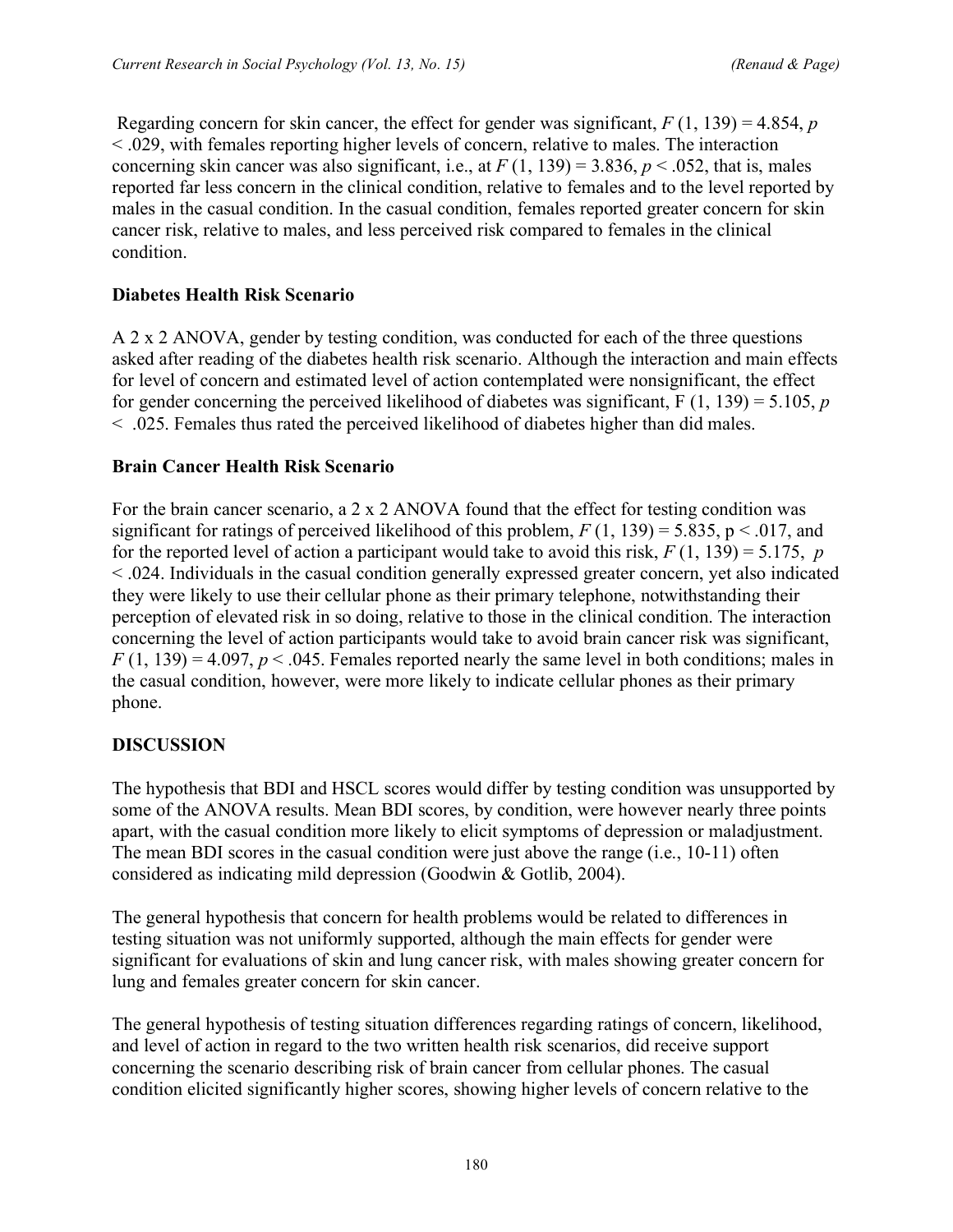Regarding concern for skin cancer, the effect for gender was significant, *F* (1, 139) = 4.854, *p* < .029, with females reporting higher levels of concern, relative to males. The interaction concerning skin cancer was also significant, i.e., at  $F(1, 139) = 3.836$ ,  $p < .052$ , that is, males reported far less concern in the clinical condition, relative to females and to the level reported by males in the casual condition. In the casual condition, females reported greater concern for skin cancer risk, relative to males, and less perceived risk compared to females in the clinical condition.

#### **Diabetes Health Risk Scenario**

A 2 x 2 ANOVA, gender by testing condition, was conducted for each of the three questions asked after reading of the diabetes health risk scenario. Although the interaction and main effects for level of concern and estimated level of action contemplated were nonsignificant, the effect for gender concerning the perceived likelihood of diabetes was significant, F (1, 139) = 5.105, *p* < .025. Females thus rated the perceived likelihood of diabetes higher than did males.

#### **Brain Cancer Health Risk Scenario**

For the brain cancer scenario, a 2 x 2 ANOVA found that the effect for testing condition was significant for ratings of perceived likelihood of this problem,  $F(1, 139) = 5.835$ ,  $p < .017$ , and for the reported level of action a participant would take to avoid this risk,  $F(1, 139) = 5.175$ , *p* < .024. Individuals in the casual condition generally expressed greater concern, yet also indicated they were likely to use their cellular phone as their primary telephone, notwithstanding their perception of elevated risk in so doing, relative to those in the clinical condition. The interaction concerning the level of action participants would take to avoid brain cancer risk was significant,  $F(1, 139) = 4.097$ ,  $p < .045$ . Females reported nearly the same level in both conditions; males in the casual condition, however, were more likely to indicate cellular phones as their primary phone.

#### **DISCUSSION**

The hypothesis that BDI and HSCL scores would differ by testing condition was unsupported by some of the ANOVA results. Mean BDI scores, by condition, were however nearly three points apart, with the casual condition more likely to elicit symptoms of depression or maladjustment. The mean BDI scores in the casual condition were just above the range (i.e., 10-11) often considered as indicating mild depression (Goodwin & Gotlib, 2004).

The general hypothesis that concern for health problems would be related to differences in testing situation was not uniformly supported, although the main effects for gender were significant for evaluations of skin and lung cancer risk, with males showing greater concern for lung and females greater concern for skin cancer.

The general hypothesis of testing situation differences regarding ratings of concern, likelihood, and level of action in regard to the two written health risk scenarios, did receive support concerning the scenario describing risk of brain cancer from cellular phones. The casual condition elicited significantly higher scores, showing higher levels of concern relative to the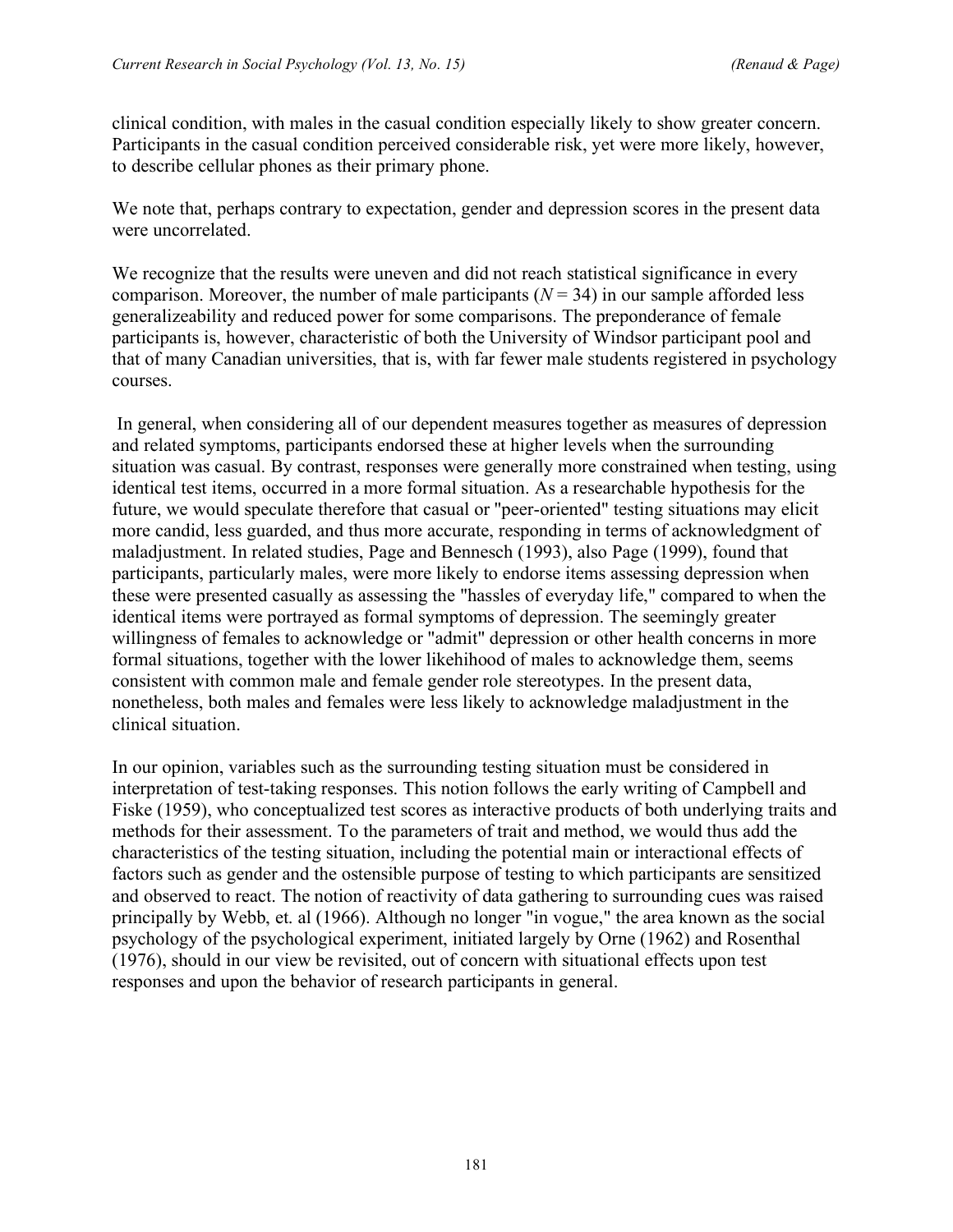clinical condition, with males in the casual condition especially likely to show greater concern. Participants in the casual condition perceived considerable risk, yet were more likely, however, to describe cellular phones as their primary phone.

We note that, perhaps contrary to expectation, gender and depression scores in the present data were uncorrelated.

We recognize that the results were uneven and did not reach statistical significance in every comparison. Moreover, the number of male participants  $(N = 34)$  in our sample afforded less generalizeability and reduced power for some comparisons. The preponderance of female participants is, however, characteristic of both the University of Windsor participant pool and that of many Canadian universities, that is, with far fewer male students registered in psychology courses.

In general, when considering all of our dependent measures together as measures of depression and related symptoms, participants endorsed these at higher levels when the surrounding situation was casual. By contrast, responses were generally more constrained when testing, using identical test items, occurred in a more formal situation. As a researchable hypothesis for the future, we would speculate therefore that casual or "peer-oriented" testing situations may elicit more candid, less guarded, and thus more accurate, responding in terms of acknowledgment of maladjustment. In related studies, Page and Bennesch (1993), also Page (1999), found that participants, particularly males, were more likely to endorse items assessing depression when these were presented casually as assessing the "hassles of everyday life," compared to when the identical items were portrayed as formal symptoms of depression. The seemingly greater willingness of females to acknowledge or "admit" depression or other health concerns in more formal situations, together with the lower likehihood of males to acknowledge them, seems consistent with common male and female gender role stereotypes. In the present data, nonetheless, both males and females were less likely to acknowledge maladjustment in the clinical situation.

In our opinion, variables such as the surrounding testing situation must be considered in interpretation of test-taking responses. This notion follows the early writing of Campbell and Fiske (1959), who conceptualized test scores as interactive products of both underlying traits and methods for their assessment. To the parameters of trait and method, we would thus add the characteristics of the testing situation, including the potential main or interactional effects of factors such as gender and the ostensible purpose of testing to which participants are sensitized and observed to react. The notion of reactivity of data gathering to surrounding cues was raised principally by Webb, et. al (1966). Although no longer "in vogue," the area known as the social psychology of the psychological experiment, initiated largely by Orne (1962) and Rosenthal (1976), should in our view be revisited, out of concern with situational effects upon test responses and upon the behavior of research participants in general.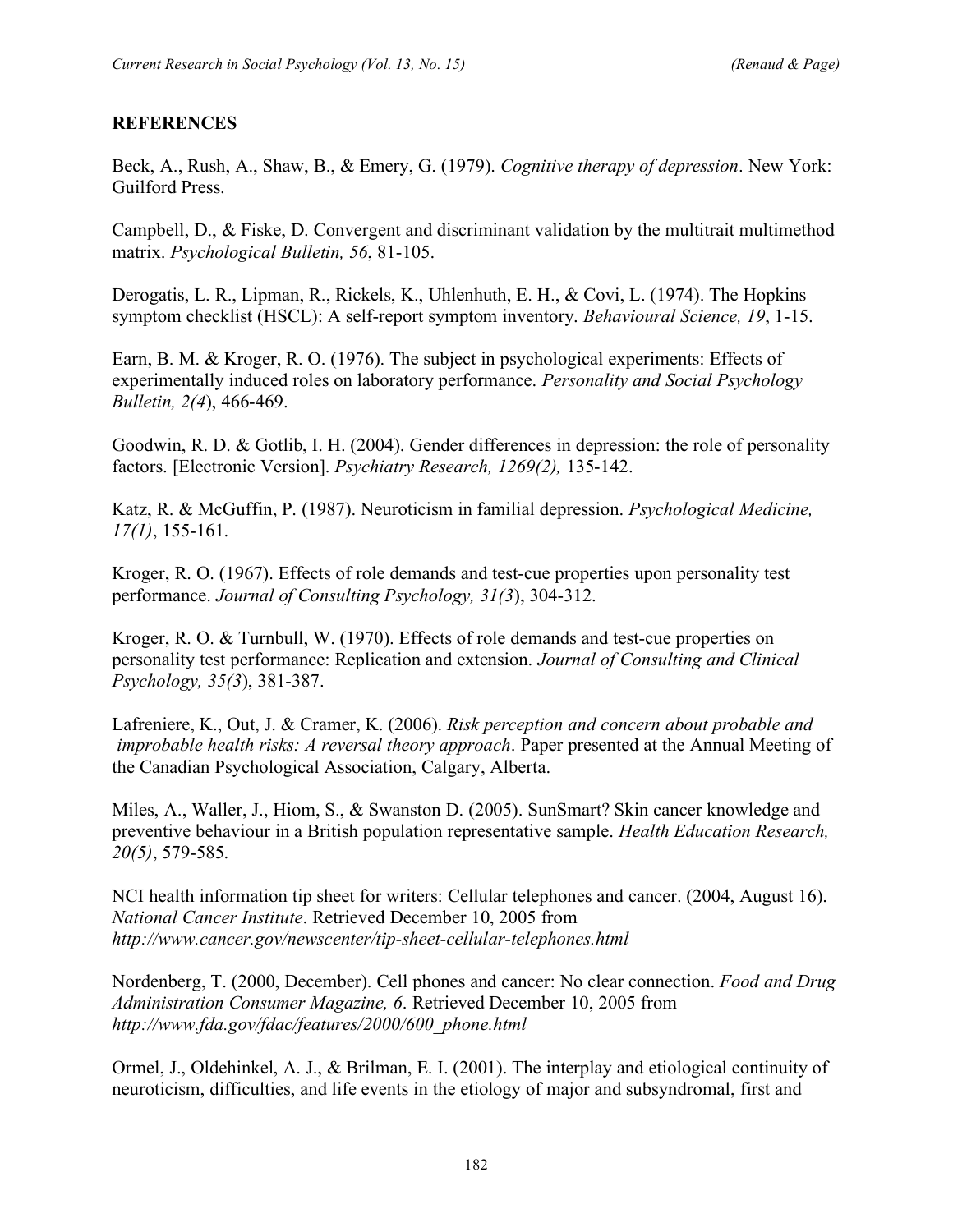## **REFERENCES**

Beck, A., Rush, A., Shaw, B., & Emery, G. (1979). *Cognitive therapy of depression*. New York: Guilford Press.

Campbell, D., & Fiske, D. Convergent and discriminant validation by the multitrait multimethod matrix. *Psychological Bulletin, 56*, 81-105.

Derogatis, L. R., Lipman, R., Rickels, K., Uhlenhuth, E. H., & Covi, L. (1974). The Hopkins symptom checklist (HSCL): A self-report symptom inventory. *Behavioural Science, 19*, 1-15.

Earn, B. M. & Kroger, R. O. (1976). The subject in psychological experiments: Effects of experimentally induced roles on laboratory performance. *Personality and Social Psychology Bulletin, 2(4*), 466-469.

Goodwin, R. D. & Gotlib, I. H. (2004). Gender differences in depression: the role of personality factors. [Electronic Version]. *Psychiatry Research, 1269(2),* 135-142.

Katz, R. & McGuffin, P. (1987). Neuroticism in familial depression. *Psychological Medicine, 17(1)*, 155-161.

Kroger, R. O. (1967). Effects of role demands and test-cue properties upon personality test performance. *Journal of Consulting Psychology, 31(3*), 304-312.

Kroger, R. O. & Turnbull, W. (1970). Effects of role demands and test-cue properties on personality test performance: Replication and extension. *Journal of Consulting and Clinical Psychology, 35(3*), 381-387.

Lafreniere, K., Out, J. & Cramer, K. (2006). *Risk perception and concern about probable and improbable health risks: A reversal theory approach*. Paper presented at the Annual Meeting of the Canadian Psychological Association, Calgary, Alberta.

Miles, A., Waller, J., Hiom, S., & Swanston D. (2005). SunSmart? Skin cancer knowledge and preventive behaviour in a British population representative sample. *Health Education Research, 20(5)*, 579-585.

NCI health information tip sheet for writers: Cellular telephones and cancer. (2004, August 16). *National Cancer Institute*. Retrieved December 10, 2005 from *http://www.cancer.gov/newscenter/tip-sheet-cellular-telephones.html*

Nordenberg, T. (2000, December). Cell phones and cancer: No clear connection. *Food and Drug Administration Consumer Magazine, 6*. Retrieved December 10, 2005 from *http://www.fda.gov/fdac/features/2000/600\_phone.html*

Ormel, J., Oldehinkel, A. J., & Brilman, E. I. (2001). The interplay and etiological continuity of neuroticism, difficulties, and life events in the etiology of major and subsyndromal, first and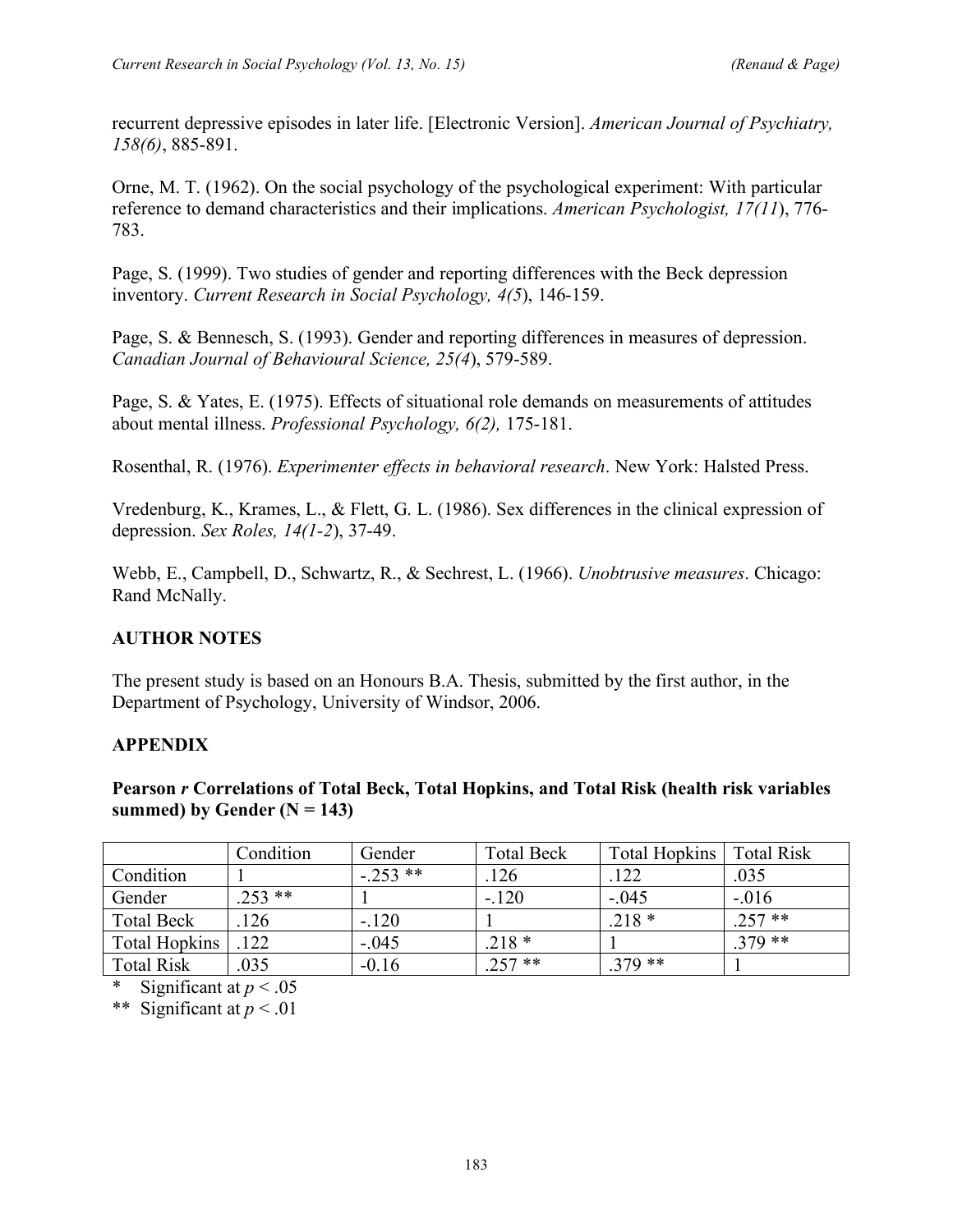recurrent depressive episodes in later life. [Electronic Version]. *American Journal of Psychiatry, 158(6)*, 885-891.

Orne, M. T. (1962). On the social psychology of the psychological experiment: With particular reference to demand characteristics and their implications. *American Psychologist, 17(11*), 776- 783.

Page, S. (1999). Two studies of gender and reporting differences with the Beck depression inventory. *Current Research in Social Psychology, 4(5*), 146-159.

Page, S. & Bennesch, S. (1993). Gender and reporting differences in measures of depression. *Canadian Journal of Behavioural Science, 25(4*), 579-589.

Page, S. & Yates, E. (1975). Effects of situational role demands on measurements of attitudes about mental illness. *Professional Psychology, 6(2),* 175-181.

Rosenthal, R. (1976). *Experimenter effects in behavioral research*. New York: Halsted Press.

Vredenburg, K., Krames, L., & Flett, G. L. (1986). Sex differences in the clinical expression of depression. *Sex Roles, 14(1-2*), 37-49.

Webb, E., Campbell, D., Schwartz, R., & Sechrest, L. (1966). *Unobtrusive measures*. Chicago: Rand McNally.

# **AUTHOR NOTES**

The present study is based on an Honours B.A. Thesis, submitted by the first author, in the Department of Psychology, University of Windsor, 2006.

#### **APPENDIX**

**Pearson** *r* **Correlations of Total Beck, Total Hopkins, and Total Risk (health risk variables summed)** by Gender  $(N = 143)$ 

|                   | Condition | Gender    | <b>Total Beck</b> | <b>Total Hopkins</b> | <b>Total Risk</b> |
|-------------------|-----------|-----------|-------------------|----------------------|-------------------|
| Condition         |           | $-.253**$ | 126               | .122                 | .035              |
| Gender            | $.253$ ** |           | $-.120$           | $-.045$              | $-.016$           |
| <b>Total Beck</b> | 126       | $-.120$   |                   | $.218*$              | $.257$ **         |
| Total Hopkins     | .122      | $-.045$   | $.218*$           |                      | $379**$           |
| <b>Total Risk</b> | 035       | $-0.16$   | $257**$           | $.379**$             |                   |

Significant at  $p < .05$ 

\*\* Significant at *p* < .01